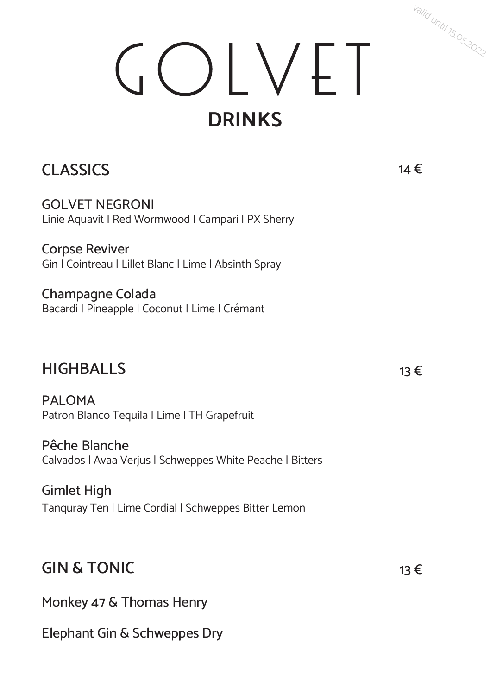## GOLVET **DRINKS**

### **CLASSICS**

GOLVET NEGRONI Linie Aquavit | Red Wormwood | Campari | PX Sherry

Corpse Reviver Gin | Cointreau | Lillet Blanc | Lime | Absinth Spray

Champagne Colada Bacardi | Pineapple | Coconut | Lime | Crémant

#### **HIGHBALLS**

PAI OMA Patron Blanco Tequila | Lime | TH Grapefruit

Pêche Blanche Calvados | Avaa Verjus | Schweppes White Peache | Bitters

Gimlet High Tanquray Ten | Lime Cordial | Schweppes Bitter Lemon

### **GIN & TONIC**

Monkey 47 & Thomas Henry

Elephant Gin & Schweppes Dry

14 €

valid until 15.05.2022

13 €

13 €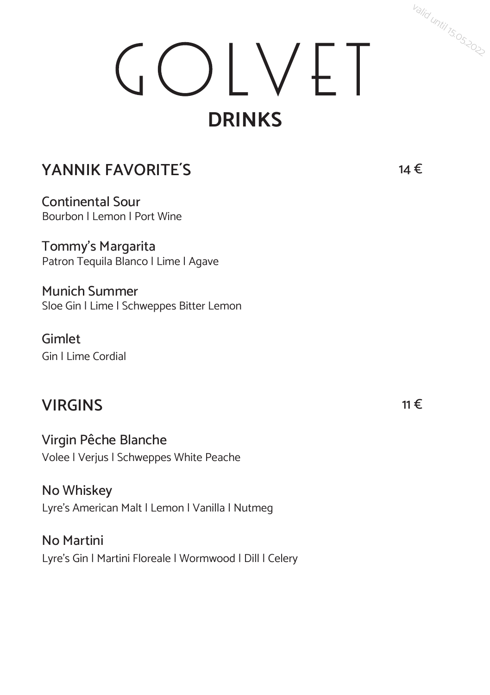# GOLVET **DRINKS**

### **YANNIK FAVORITE´S**

Continental Sour Bourbon | Lemon | Port Wine

Tommy's Margarita Patron Tequila Blanco | Lime | Agave

Munich Summer Sloe Gin | Lime | Schweppes Bitter Lemon

Gimlet Gin | Lime Cordial

### **VIRGINS**

Virgin Pêche Blanche Volee | Verjus | Schweppes White Peache

No Whiskey Lyre's American Malt | Lemon | Vanilla | Nutmeg

No Martini Lyre's Gin | Martini Floreale | Wormwood | Dill | Celery 14 €

valid until 15.05.2022

11 €